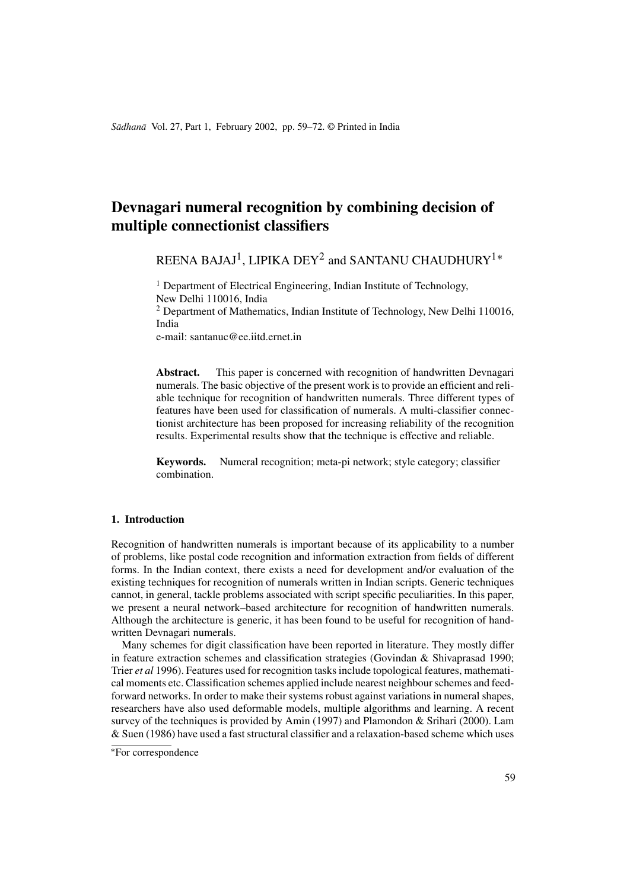# **Devnagari numeral recognition by combining decision of multiple connectionist classifiers**

REENA BAJAJ $^1$ , LIPIKA DEY $^2$  and SANTANU CHAUDHURY $^{1\ast}$ 

<sup>1</sup> Department of Electrical Engineering, Indian Institute of Technology, New Delhi 110016, India <sup>2</sup> Department of Mathematics, Indian Institute of Technology, New Delhi 110016, India e-mail: santanuc@ee.iitd.ernet.in

**Abstract.** This paper is concerned with recognition of handwritten Devnagari numerals. The basic objective of the present work is to provide an efficient and reliable technique for recognition of handwritten numerals. Three different types of features have been used for classification of numerals. A multi-classifier connectionist architecture has been proposed for increasing reliability of the recognition results. Experimental results show that the technique is effective and reliable.

**Keywords.** Numeral recognition; meta-pi network; style category; classifier combination.

## **1. Introduction**

Recognition of handwritten numerals is important because of its applicability to a number of problems, like postal code recognition and information extraction from fields of different forms. In the Indian context, there exists a need for development and/or evaluation of the existing techniques for recognition of numerals written in Indian scripts. Generic techniques cannot, in general, tackle problems associated with script specific peculiarities. In this paper, we present a neural network–based architecture for recognition of handwritten numerals. Although the architecture is generic, it has been found to be useful for recognition of handwritten Devnagari numerals.

Many schemes for digit classification have been reported in literature. They mostly differ in feature extraction schemes and classification strategies (Govindan & Shivaprasad 1990; Trier *et al* 1996). Features used for recognition tasks include topological features, mathematical moments etc. Classification schemes applied include nearest neighbour schemes and feedforward networks. In order to make their systems robust against variations in numeral shapes, researchers have also used deformable models, multiple algorithms and learning. A recent survey of the techniques is provided by Amin (1997) and Plamondon & Srihari (2000). Lam & Suen (1986) have used a fast structural classifier and a relaxation-based scheme which uses

<sup>∗</sup>For correspondence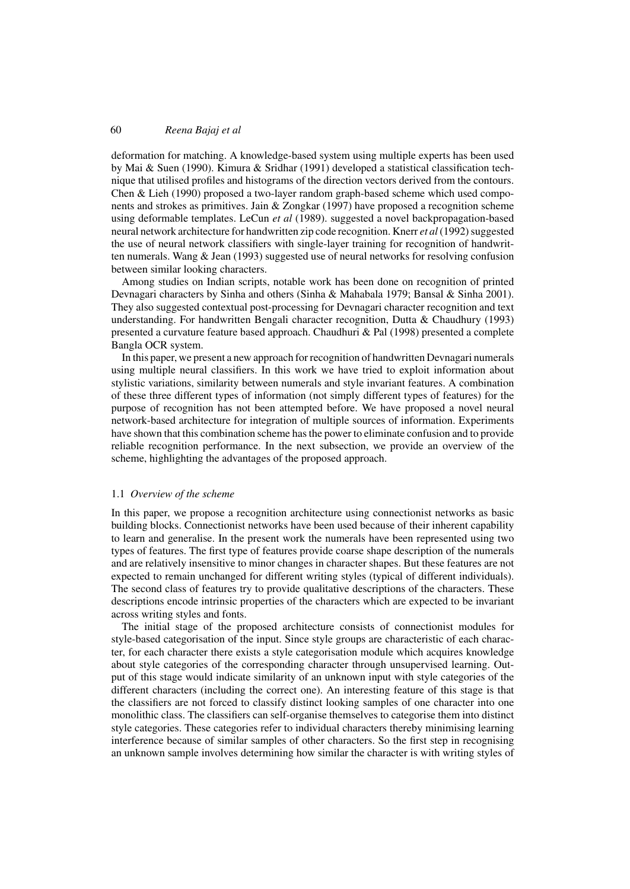deformation for matching. A knowledge-based system using multiple experts has been used by Mai & Suen (1990). Kimura & Sridhar (1991) developed a statistical classification technique that utilised profiles and histograms of the direction vectors derived from the contours. Chen & Lieh (1990) proposed a two-layer random graph-based scheme which used components and strokes as primitives. Jain & Zongkar (1997) have proposed a recognition scheme using deformable templates. LeCun *et al* (1989). suggested a novel backpropagation-based neural network architecture for handwritten zip code recognition. Knerr *et al*(1992) suggested the use of neural network classifiers with single-layer training for recognition of handwritten numerals. Wang & Jean (1993) suggested use of neural networks for resolving confusion between similar looking characters.

Among studies on Indian scripts, notable work has been done on recognition of printed Devnagari characters by Sinha and others (Sinha & Mahabala 1979; Bansal & Sinha 2001). They also suggested contextual post-processing for Devnagari character recognition and text understanding. For handwritten Bengali character recognition, Dutta & Chaudhury (1993) presented a curvature feature based approach. Chaudhuri & Pal (1998) presented a complete Bangla OCR system.

In this paper, we present a new approach for recognition of handwritten Devnagari numerals using multiple neural classifiers. In this work we have tried to exploit information about stylistic variations, similarity between numerals and style invariant features. A combination of these three different types of information (not simply different types of features) for the purpose of recognition has not been attempted before. We have proposed a novel neural network-based architecture for integration of multiple sources of information. Experiments have shown that this combination scheme has the power to eliminate confusion and to provide reliable recognition performance. In the next subsection, we provide an overview of the scheme, highlighting the advantages of the proposed approach.

#### 1.1 *Overview of the scheme*

In this paper, we propose a recognition architecture using connectionist networks as basic building blocks. Connectionist networks have been used because of their inherent capability to learn and generalise. In the present work the numerals have been represented using two types of features. The first type of features provide coarse shape description of the numerals and are relatively insensitive to minor changes in character shapes. But these features are not expected to remain unchanged for different writing styles (typical of different individuals). The second class of features try to provide qualitative descriptions of the characters. These descriptions encode intrinsic properties of the characters which are expected to be invariant across writing styles and fonts.

The initial stage of the proposed architecture consists of connectionist modules for style-based categorisation of the input. Since style groups are characteristic of each character, for each character there exists a style categorisation module which acquires knowledge about style categories of the corresponding character through unsupervised learning. Output of this stage would indicate similarity of an unknown input with style categories of the different characters (including the correct one). An interesting feature of this stage is that the classifiers are not forced to classify distinct looking samples of one character into one monolithic class. The classifiers can self-organise themselves to categorise them into distinct style categories. These categories refer to individual characters thereby minimising learning interference because of similar samples of other characters. So the first step in recognising an unknown sample involves determining how similar the character is with writing styles of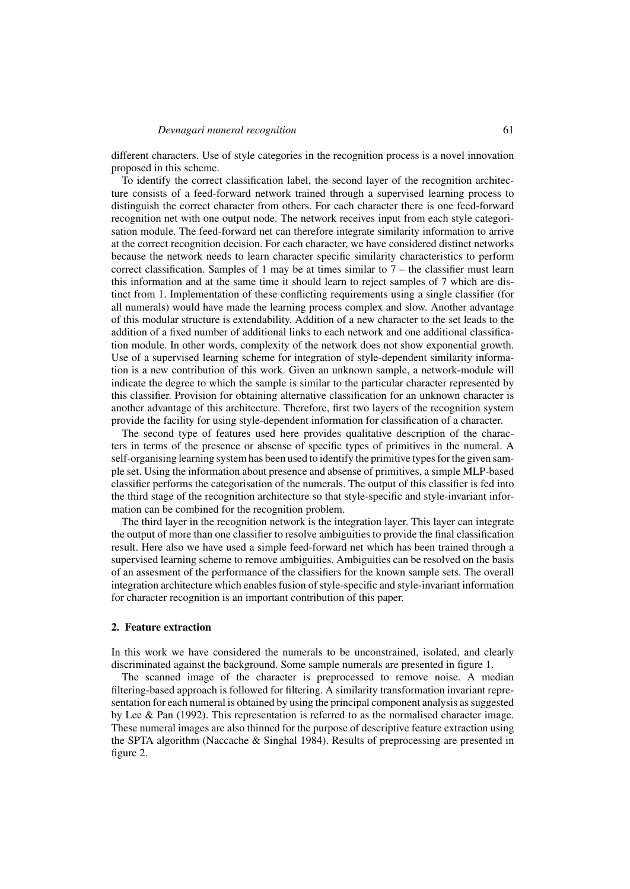## *Devnagari numeral recognition* 61

different characters. Use of style categories in the recognition process is a novel innovation proposed in this scheme.

To identify the correct classification label, the second layer of the recognition architecture consists of a feed-forward network trained through a supervised learning process to distinguish the correct character from others. For each character there is one feed-forward recognition net with one output node. The network receives input from each style categorisation module. The feed-forward net can therefore integrate similarity information to arrive at the correct recognition decision. For each character, we have considered distinct networks because the network needs to learn character specific similarity characteristics to perform correct classification. Samples of 1 may be at times similar to  $7 -$  the classifier must learn this information and at the same time it should learn to reject samples of 7 which are distinct from 1. Implementation of these conflicting requirements using a single classifier (for all numerals) would have made the learning process complex and slow. Another advantage of this modular structure is extendability. Addition of a new character to the set leads to the addition of a fixed number of additional links to each network and one additional classification module. In other words, complexity of the network does not show exponential growth. Use of a supervised learning scheme for integration of style-dependent similarity information is a new contribution of this work. Given an unknown sample, a network-module will indicate the degree to which the sample is similar to the particular character represented by this classifier. Provision for obtaining alternative classification for an unknown character is another advantage of this architecture. Therefore, first two layers of the recognition system provide the facility for using style-dependent information for classification of a character.

The second type of features used here provides qualitative description of the characters in terms of the presence or absense of specific types of primitives in the numeral. A self-organising learning system has been used to identify the primitive types for the given sample set. Using the information about presence and absense of primitives, a simple MLP-based classifier performs the categorisation of the numerals. The output of this classifier is fed into the third stage of the recognition architecture so that style-specific and style-invariant information can be combined for the recognition problem.

The third layer in the recognition network is the integration layer. This layer can integrate the output of more than one classifier to resolve ambiguities to provide the final classification result. Here also we have used a simple feed-forward net which has been trained through a supervised learning scheme to remove ambiguities. Ambiguities can be resolved on the basis of an assesment of the performance of the classifiers for the known sample sets. The overall integration architecture which enables fusion of style-specific and style-invariant information for character recognition is an important contribution of this paper.

#### **2. Feature extraction**

In this work we have considered the numerals to be unconstrained, isolated, and clearly discriminated against the background. Some sample numerals are presented in figure 1.

The scanned image of the character is preprocessed to remove noise. A median filtering-based approach is followed for filtering. A similarity transformation invariant representation for each numeral is obtained by using the principal component analysis as suggested by Lee & Pan (1992). This representation is referred to as the normalised character image. These numeral images are also thinned for the purpose of descriptive feature extraction using the SPTA algorithm (Naccache & Singhal 1984). Results of preprocessing are presented in figure 2.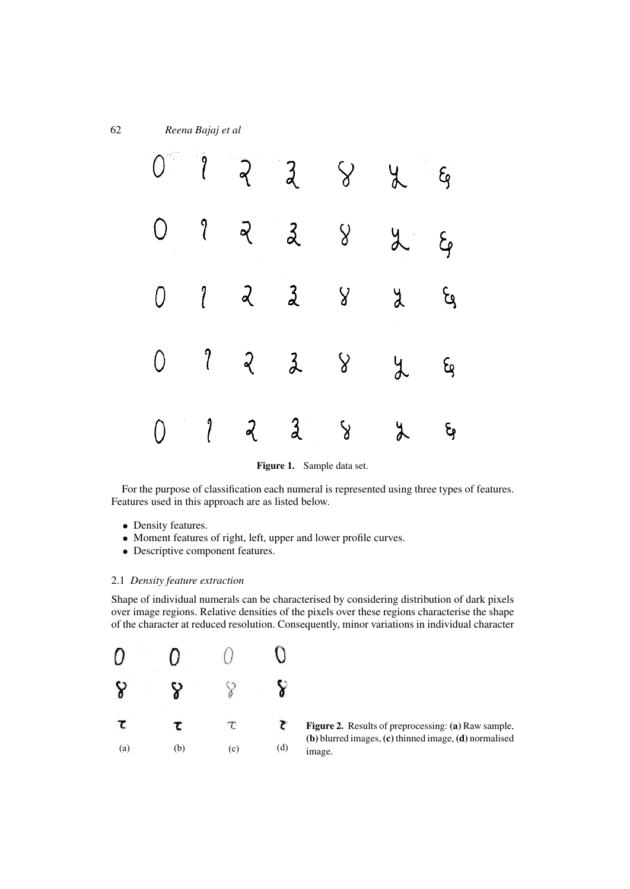

**Figure 1.** Sample data set.

For the purpose of classification each numeral is represented using three types of features. Features used in this approach are as listed below.

- Density features.
- Moment features of right, left, upper and lower profile curves.
- Descriptive component features.

## 2.1 *Density feature extraction*

Shape of individual numerals can be characterised by considering distribution of dark pixels over image regions. Relative densities of the pixels over these regions characterise the shape of the character at reduced resolution. Consequently, minor variations in individual character



**Figure 2.** Results of preprocessing: **(a)** Raw sample, **(b)** blurred images, **(c)** thinned image, **(d)** normalised image.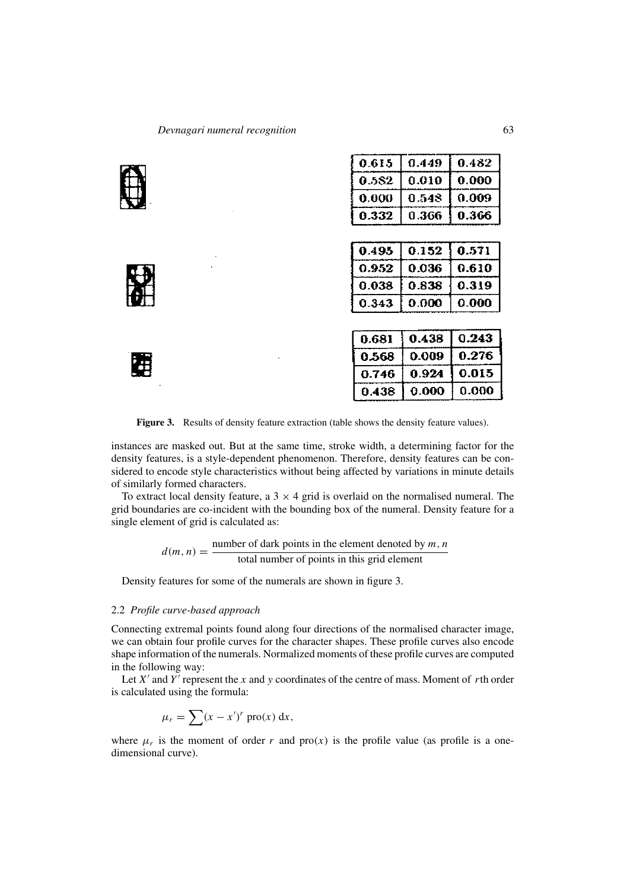#### *Devnagari numeral recognition* 63

| 0.615 | 0.449 | 0.482 |
|-------|-------|-------|
| 0.582 | 0.010 | 0.000 |
| 0.000 | 0.548 | 0.009 |
| 0.332 | 0.366 | 0.366 |

| 0.495 | $0.152$ 5 | 0.571        |
|-------|-----------|--------------|
| 0.952 | 0.036     | 0.610        |
| 0.038 | 0.838     | 0.319        |
| 0.343 | 0.000     | <u>A.AAA</u> |

| 0.681 | 0.438 | 0.243 |
|-------|-------|-------|
| 0.568 | 0.009 | 0.276 |
| 0.746 | 0.924 | 0.015 |
| 0.438 | 0.000 | 0.000 |

**Figure 3.** Results of density feature extraction (table shows the density feature values).

instances are masked out. But at the same time, stroke width, a determining factor for the density features, is a style-dependent phenomenon. Therefore, density features can be considered to encode style characteristics without being affected by variations in minute details of similarly formed characters.

To extract local density feature, a  $3 \times 4$  grid is overlaid on the normalised numeral. The grid boundaries are co-incident with the bounding box of the numeral. Density feature for a single element of grid is calculated as:

$$
d(m, n) = \frac{\text{number of dark points in the element denoted by } m, n}{\text{total number of points in this grid element}}
$$

Density features for some of the numerals are shown in figure 3.

## 2.2 *Profile curve-based approach*

Connecting extremal points found along four directions of the normalised character image, we can obtain four profile curves for the character shapes. These profile curves also encode shape information of the numerals. Normalized moments of these profile curves are computed in the following way:

Let  $X'$  and  $Y'$  represent the x and y coordinates of the centre of mass. Moment of rth order is calculated using the formula:

$$
\mu_r = \sum (x - x')^r \operatorname{pro}(x) \, \mathrm{d}x,
$$

where  $\mu_r$  is the moment of order r and  $\text{pro}(x)$  is the profile value (as profile is a onedimensional curve).

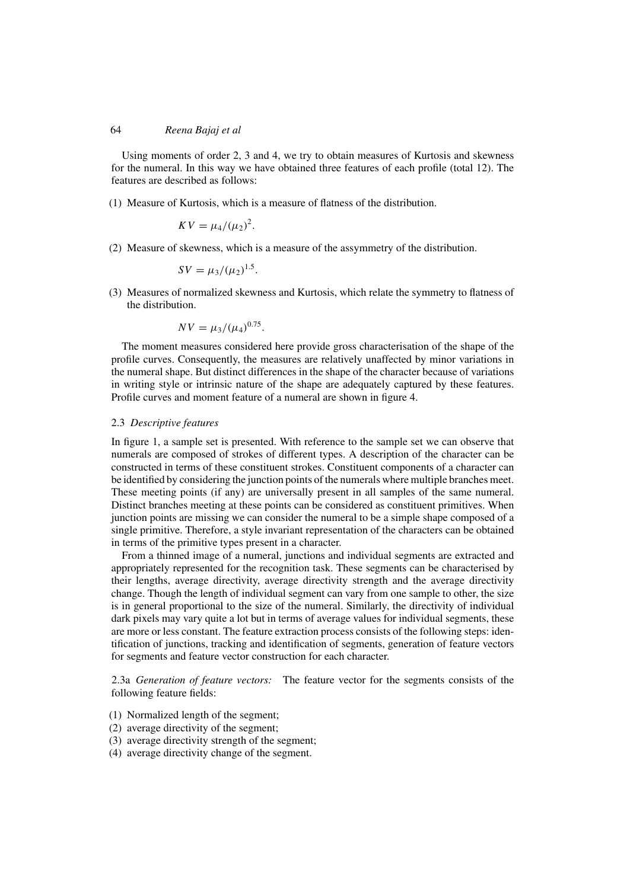Using moments of order 2, 3 and 4, we try to obtain measures of Kurtosis and skewness for the numeral. In this way we have obtained three features of each profile (total 12). The features are described as follows:

(1) Measure of Kurtosis, which is a measure of flatness of the distribution.

$$
KV = \mu_4/(\mu_2)^2.
$$

(2) Measure of skewness, which is a measure of the assymmetry of the distribution.

$$
SV = \mu_3/(\mu_2)^{1.5}.
$$

(3) Measures of normalized skewness and Kurtosis, which relate the symmetry to flatness of the distribution.

$$
NV = \mu_3/(\mu_4)^{0.75}.
$$

The moment measures considered here provide gross characterisation of the shape of the profile curves. Consequently, the measures are relatively unaffected by minor variations in the numeral shape. But distinct differences in the shape of the character because of variations in writing style or intrinsic nature of the shape are adequately captured by these features. Profile curves and moment feature of a numeral are shown in figure 4.

#### 2.3 *Descriptive features*

In figure 1, a sample set is presented. With reference to the sample set we can observe that numerals are composed of strokes of different types. A description of the character can be constructed in terms of these constituent strokes. Constituent components of a character can be identified by considering the junction points of the numerals where multiple branches meet. These meeting points (if any) are universally present in all samples of the same numeral. Distinct branches meeting at these points can be considered as constituent primitives. When junction points are missing we can consider the numeral to be a simple shape composed of a single primitive. Therefore, a style invariant representation of the characters can be obtained in terms of the primitive types present in a character.

From a thinned image of a numeral, junctions and individual segments are extracted and appropriately represented for the recognition task. These segments can be characterised by their lengths, average directivity, average directivity strength and the average directivity change. Though the length of individual segment can vary from one sample to other, the size is in general proportional to the size of the numeral. Similarly, the directivity of individual dark pixels may vary quite a lot but in terms of average values for individual segments, these are more or less constant. The feature extraction process consists of the following steps: identification of junctions, tracking and identification of segments, generation of feature vectors for segments and feature vector construction for each character.

2.3a *Generation of feature vectors:* The feature vector for the segments consists of the following feature fields:

- (1) Normalized length of the segment;
- (2) average directivity of the segment;
- (3) average directivity strength of the segment;
- (4) average directivity change of the segment.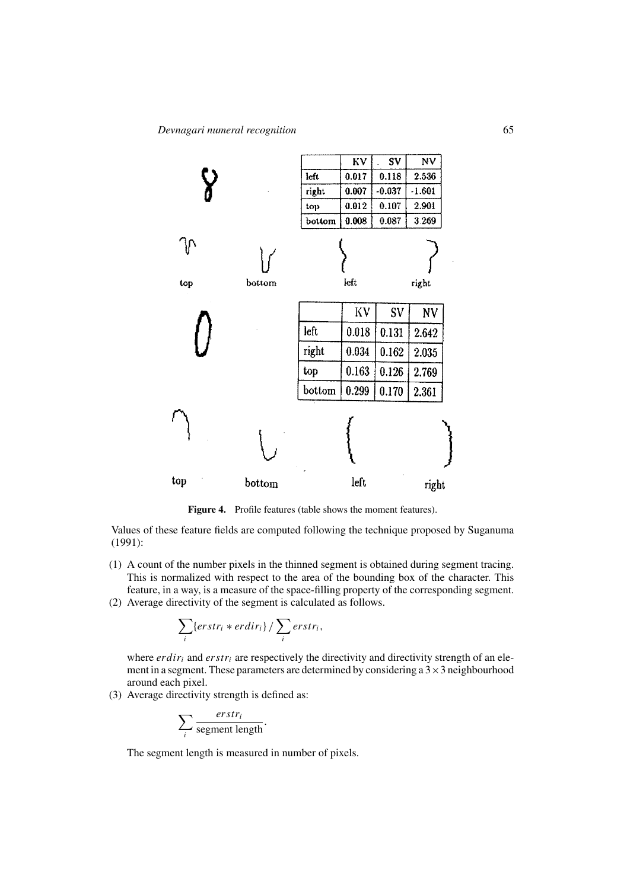

**Figure 4.** Profile features (table shows the moment features).

Values of these feature fields are computed following the technique proposed by Suganuma (1991):

- (1) A count of the number pixels in the thinned segment is obtained during segment tracing. This is normalized with respect to the area of the bounding box of the character. This feature, in a way, is a measure of the space-filling property of the corresponding segment.
- (2) Average directivity of the segment is calculated as follows.

$$
\sum_i \{erstr_i * erdir_i\} / \sum_i erstr_i,
$$

where  $erdir_i$  and  $erstr_i$  are respectively the directivity and directivity strength of an element in a segment. These parameters are determined by considering a  $3 \times 3$  neighbourhood around each pixel.

(3) Average directivity strength is defined as:

$$
\sum_{i} \frac{erstr_i}{\text{segment length}}.
$$

The segment length is measured in number of pixels.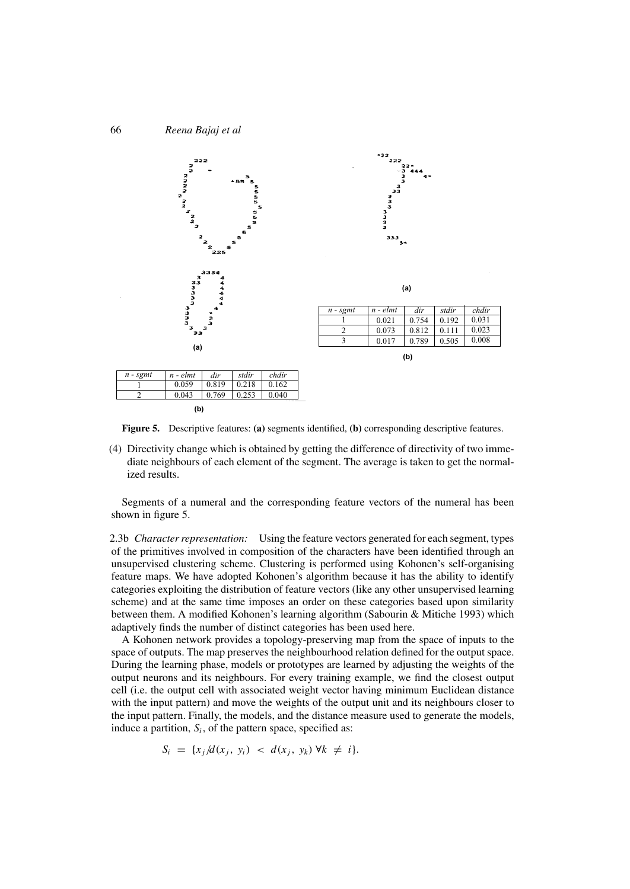

**Figure 5.** Descriptive features: **(a)** segments identified, **(b)** corresponding descriptive features.

(4) Directivity change which is obtained by getting the difference of directivity of two immediate neighbours of each element of the segment. The average is taken to get the normalized results.

Segments of a numeral and the corresponding feature vectors of the numeral has been shown in figure 5.

2.3b *Character representation:* Using the feature vectors generated for each segment, types of the primitives involved in composition of the characters have been identified through an unsupervised clustering scheme. Clustering is performed using Kohonen's self-organising feature maps. We have adopted Kohonen's algorithm because it has the ability to identify categories exploiting the distribution of feature vectors (like any other unsupervised learning scheme) and at the same time imposes an order on these categories based upon similarity between them. A modified Kohonen's learning algorithm (Sabourin & Mitiche 1993) which adaptively finds the number of distinct categories has been used here.

A Kohonen network provides a topology-preserving map from the space of inputs to the space of outputs. The map preserves the neighbourhood relation defined for the output space. During the learning phase, models or prototypes are learned by adjusting the weights of the output neurons and its neighbours. For every training example, we find the closest output cell (i.e. the output cell with associated weight vector having minimum Euclidean distance with the input pattern) and move the weights of the output unit and its neighbours closer to the input pattern. Finally, the models, and the distance measure used to generate the models, induce a partition,  $S_i$ , of the pattern space, specified as:

$$
S_i = \{x_j/d(x_j, y_i) < d(x_j, y_k) \, \forall k \neq i\}.
$$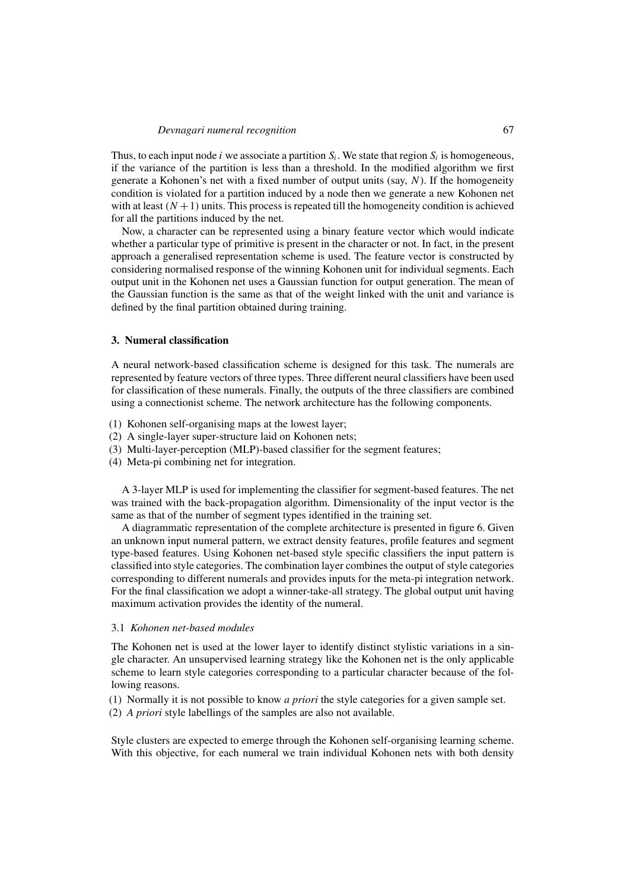Thus, to each input node *i* we associate a partition  $S_i$ . We state that region  $S_i$  is homogeneous, if the variance of the partition is less than a threshold. In the modified algorithm we first generate a Kohonen's net with a fixed number of output units (say,  $N$ ). If the homogeneity condition is violated for a partition induced by a node then we generate a new Kohonen net with at least  $(N + 1)$  units. This process is repeated till the homogeneity condition is achieved for all the partitions induced by the net.

Now, a character can be represented using a binary feature vector which would indicate whether a particular type of primitive is present in the character or not. In fact, in the present approach a generalised representation scheme is used. The feature vector is constructed by considering normalised response of the winning Kohonen unit for individual segments. Each output unit in the Kohonen net uses a Gaussian function for output generation. The mean of the Gaussian function is the same as that of the weight linked with the unit and variance is defined by the final partition obtained during training.

## **3. Numeral classification**

A neural network-based classification scheme is designed for this task. The numerals are represented by feature vectors of three types. Three different neural classifiers have been used for classification of these numerals. Finally, the outputs of the three classifiers are combined using a connectionist scheme. The network architecture has the following components.

- (1) Kohonen self-organising maps at the lowest layer;
- (2) A single-layer super-structure laid on Kohonen nets;
- (3) Multi-layer-perception (MLP)-based classifier for the segment features;
- (4) Meta-pi combining net for integration.

A 3-layer MLP is used for implementing the classifier for segment-based features. The net was trained with the back-propagation algorithm. Dimensionality of the input vector is the same as that of the number of segment types identified in the training set.

A diagrammatic representation of the complete architecture is presented in figure 6. Given an unknown input numeral pattern, we extract density features, profile features and segment type-based features. Using Kohonen net-based style specific classifiers the input pattern is classified into style categories. The combination layer combines the output of style categories corresponding to different numerals and provides inputs for the meta-pi integration network. For the final classification we adopt a winner-take-all strategy. The global output unit having maximum activation provides the identity of the numeral.

#### 3.1 *Kohonen net-based modules*

The Kohonen net is used at the lower layer to identify distinct stylistic variations in a single character. An unsupervised learning strategy like the Kohonen net is the only applicable scheme to learn style categories corresponding to a particular character because of the following reasons.

(1) Normally it is not possible to know *a priori* the style categories for a given sample set. (2) *A priori* style labellings of the samples are also not available.

Style clusters are expected to emerge through the Kohonen self-organising learning scheme. With this objective, for each numeral we train individual Kohonen nets with both density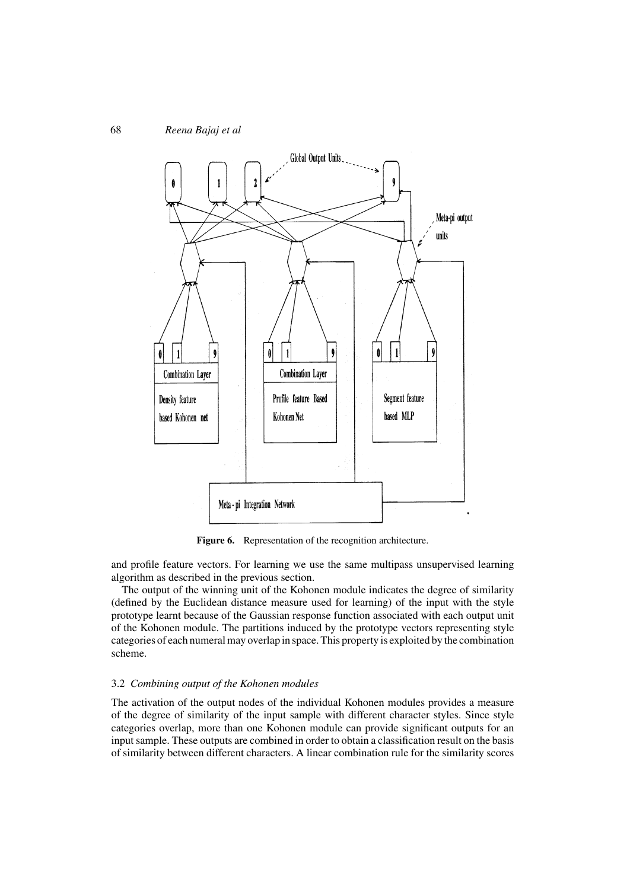

**Figure 6.** Representation of the recognition architecture.

and profile feature vectors. For learning we use the same multipass unsupervised learning algorithm as described in the previous section.

The output of the winning unit of the Kohonen module indicates the degree of similarity (defined by the Euclidean distance measure used for learning) of the input with the style prototype learnt because of the Gaussian response function associated with each output unit of the Kohonen module. The partitions induced by the prototype vectors representing style categories of each numeral may overlap in space. This property is exploited by the combination scheme.

## 3.2 *Combining output of the Kohonen modules*

The activation of the output nodes of the individual Kohonen modules provides a measure of the degree of similarity of the input sample with different character styles. Since style categories overlap, more than one Kohonen module can provide significant outputs for an input sample. These outputs are combined in order to obtain a classification result on the basis of similarity between different characters. A linear combination rule for the similarity scores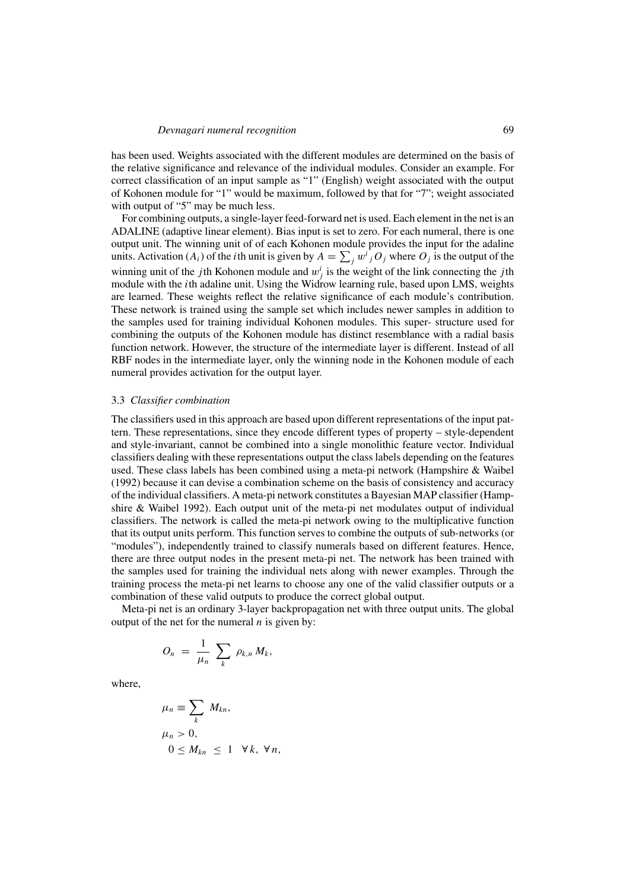has been used. Weights associated with the different modules are determined on the basis of the relative significance and relevance of the individual modules. Consider an example. For correct classification of an input sample as "1" (English) weight associated with the output of Kohonen module for "1" would be maximum, followed by that for "7"; weight associated with output of "5" may be much less.

For combining outputs, a single-layer feed-forward net is used. Each element in the net is an ADALINE (adaptive linear element). Bias input is set to zero. For each numeral, there is one output unit. The winning unit of of each Kohonen module provides the input for the adaline units. Activation  $(A_i)$  of the *i*th unit is given by  $A = \sum_j w^i{}_j O_j$  where  $O_j$  is the output of the winning unit of the *j*th Kohonen module and  $w_j^i$  is the weight of the link connecting the *j*th module with the ith adaline unit. Using the Widrow learning rule, based upon LMS, weights are learned. These weights reflect the relative significance of each module's contribution. These network is trained using the sample set which includes newer samples in addition to the samples used for training individual Kohonen modules. This super- structure used for combining the outputs of the Kohonen module has distinct resemblance with a radial basis function network. However, the structure of the intermediate layer is different. Instead of all RBF nodes in the intermediate layer, only the winning node in the Kohonen module of each numeral provides activation for the output layer.

#### 3.3 *Classifier combination*

The classifiers used in this approach are based upon different representations of the input pattern. These representations, since they encode different types of property – style-dependent and style-invariant, cannot be combined into a single monolithic feature vector. Individual classifiers dealing with these representations output the class labels depending on the features used. These class labels has been combined using a meta-pi network (Hampshire & Waibel (1992) because it can devise a combination scheme on the basis of consistency and accuracy of the individual classifiers. A meta-pi network constitutes a Bayesian MAP classifier (Hampshire & Waibel 1992). Each output unit of the meta-pi net modulates output of individual classifiers. The network is called the meta-pi network owing to the multiplicative function that its output units perform. This function serves to combine the outputs of sub-networks (or "modules"), independently trained to classify numerals based on different features. Hence, there are three output nodes in the present meta-pi net. The network has been trained with the samples used for training the individual nets along with newer examples. Through the training process the meta-pi net learns to choose any one of the valid classifier outputs or a combination of these valid outputs to produce the correct global output.

Meta-pi net is an ordinary 3-layer backpropagation net with three output units. The global output of the net for the numeral  $n$  is given by:

$$
O_n = \frac{1}{\mu_n} \sum_k \rho_{k,n} M_k,
$$

where,

$$
\mu_n \equiv \sum_k M_{kn},
$$
  
\n
$$
\mu_n > 0,
$$
  
\n
$$
0 \le M_{kn} \le 1 \quad \forall k, \forall n,
$$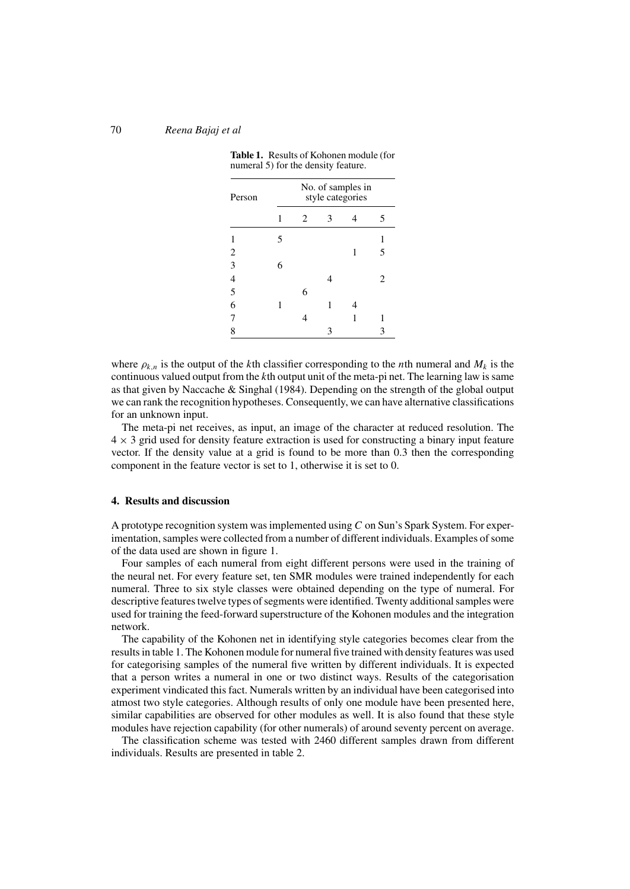| Person         |   | No. of samples in<br>style categories |   |   |   |
|----------------|---|---------------------------------------|---|---|---|
|                | 1 | $\overline{2}$                        | 3 |   | 5 |
|                | 5 |                                       |   |   | 1 |
| $\overline{2}$ |   |                                       |   | 1 | 5 |
| $\overline{3}$ | 6 |                                       |   |   |   |
| $\overline{4}$ |   |                                       | 4 |   | 2 |
| $\overline{5}$ |   | 6                                     |   |   |   |
| 6              |   |                                       |   |   |   |
| 7              |   |                                       |   |   |   |
| 8              |   |                                       |   |   | 3 |

| Table 1. Results of Kohonen module (for |
|-----------------------------------------|
| numeral 5) for the density feature.     |

where  $\rho_{k,n}$  is the output of the kth classifier corresponding to the *n*th numeral and  $M_k$  is the continuous valued output from the kth output unit of the meta-pi net. The learning law is same as that given by Naccache & Singhal (1984). Depending on the strength of the global output we can rank the recognition hypotheses. Consequently, we can have alternative classifications for an unknown input.

The meta-pi net receives, as input, an image of the character at reduced resolution. The  $4 \times 3$  grid used for density feature extraction is used for constructing a binary input feature vector. If the density value at a grid is found to be more than 0.3 then the corresponding component in the feature vector is set to 1, otherwise it is set to 0.

## **4. Results and discussion**

A prototype recognition system was implemented using C on Sun's Spark System. For experimentation, samples were collected from a number of different individuals. Examples of some of the data used are shown in figure 1.

Four samples of each numeral from eight different persons were used in the training of the neural net. For every feature set, ten SMR modules were trained independently for each numeral. Three to six style classes were obtained depending on the type of numeral. For descriptive features twelve types of segments were identified. Twenty additional samples were used for training the feed-forward superstructure of the Kohonen modules and the integration network.

The capability of the Kohonen net in identifying style categories becomes clear from the results in table 1. The Kohonen module for numeral five trained with density features was used for categorising samples of the numeral five written by different individuals. It is expected that a person writes a numeral in one or two distinct ways. Results of the categorisation experiment vindicated this fact. Numerals written by an individual have been categorised into atmost two style categories. Although results of only one module have been presented here, similar capabilities are observed for other modules as well. It is also found that these style modules have rejection capability (for other numerals) of around seventy percent on average.

The classification scheme was tested with 2460 different samples drawn from different individuals. Results are presented in table 2.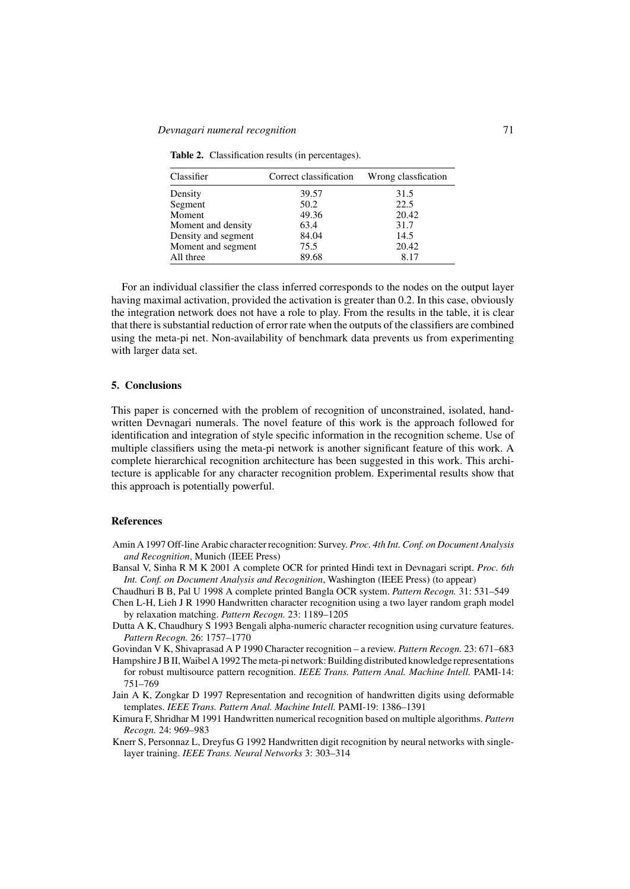| Table 2. Classification results (in percentages). |  |
|---------------------------------------------------|--|
|---------------------------------------------------|--|

| Classifier          | Correct classification | Wrong classfication |
|---------------------|------------------------|---------------------|
| Density             | 39.57                  | 31.5                |
| Segment             | 50.2                   | 22.5                |
| Moment              | 49.36                  | 20.42               |
| Moment and density  | 63.4                   | 31.7                |
| Density and segment | 84.04                  | 14.5                |
| Moment and segment  | 75.5                   | 20.42               |
| All three           | 89.68                  | 8.17                |

For an individual classifier the class inferred corresponds to the nodes on the output layer having maximal activation, provided the activation is greater than 0.2. In this case, obviously the integration network does not have a role to play. From the results in the table, it is clear that there is substantial reduction of error rate when the outputs of the classifiers are combined using the meta-pi net. Non-availability of benchmark data prevents us from experimenting with larger data set.

#### **5. Conclusions**

This paper is concerned with the problem of recognition of unconstrained, isolated, handwritten Devnagari numerals. The novel feature of this work is the approach followed for identification and integration of style specific information in the recognition scheme. Use of multiple classifiers using the meta-pi network is another significant feature of this work. A complete hierarchical recognition architecture has been suggested in this work. This architecture is applicable for any character recognition problem. Experimental results show that this approach is potentially powerful.

#### **References**

- Amin A 1997 Off-line Arabic character recognition: Survey. *Proc. 4th Int. Conf. on Document Analysis and Recognition*, Munich (IEEE Press)
- Bansal V, Sinha R M K 2001 A complete OCR for printed Hindi text in Devnagari script. *Proc. 6th Int. Conf. on Document Analysis and Recognition*, Washington (IEEE Press) (to appear)
- Chaudhuri B B, Pal U 1998 A complete printed Bangla OCR system. *Pattern Recogn.* 31: 531–549
- Chen L-H, Lieh J R 1990 Handwritten character recognition using a two layer random graph model by relaxation matching. *Pattern Recogn.* 23: 1189–1205
- Dutta A K, Chaudhury S 1993 Bengali alpha-numeric character recognition using curvature features. *Pattern Recogn.* 26: 1757–1770
- Govindan V K, Shivaprasad A P 1990 Character recognition a review. *Pattern Recogn.* 23: 671–683
- Hampshire J B II, Waibel A 1992 The meta-pi network: Building distributed knowledge representations for robust multisource pattern recognition. *IEEE Trans. Pattern Anal. Machine Intell.* PAMI-14: 751–769
- Jain A K, Zongkar D 1997 Representation and recognition of handwritten digits using deformable templates. *IEEE Trans. Pattern Anal. Machine Intell.* PAMI-19: 1386–1391
- Kimura F, Shridhar M 1991 Handwritten numerical recognition based on multiple algorithms. *Pattern Recogn.* 24: 969–983
- Knerr S, Personnaz L, Dreyfus G 1992 Handwritten digit recognition by neural networks with singlelayer training. *IEEE Trans. Neural Networks* 3: 303–314